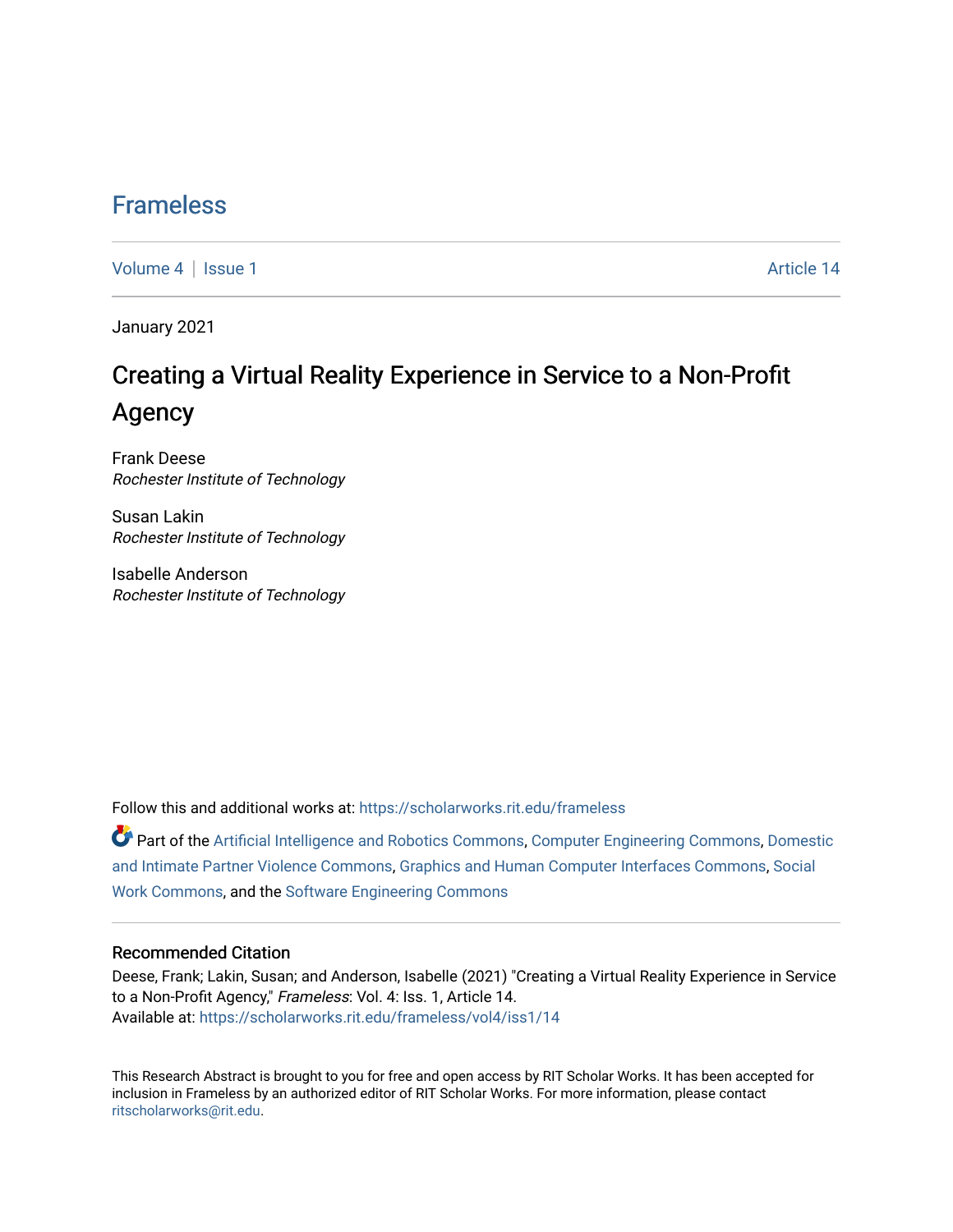## [Frameless](https://scholarworks.rit.edu/frameless)

[Volume 4](https://scholarworks.rit.edu/frameless/vol4) | [Issue 1](https://scholarworks.rit.edu/frameless/vol4/iss1) Article 14

January 2021

## Creating a Virtual Reality Experience in Service to a Non-Profit Agency

Frank Deese Rochester Institute of Technology

Susan Lakin Rochester Institute of Technology

Isabelle Anderson Rochester Institute of Technology

Follow this and additional works at: [https://scholarworks.rit.edu/frameless](https://scholarworks.rit.edu/frameless?utm_source=scholarworks.rit.edu%2Fframeless%2Fvol4%2Fiss1%2F14&utm_medium=PDF&utm_campaign=PDFCoverPages)

Part of the [Artificial Intelligence and Robotics Commons](https://network.bepress.com/hgg/discipline/143?utm_source=scholarworks.rit.edu%2Fframeless%2Fvol4%2Fiss1%2F14&utm_medium=PDF&utm_campaign=PDFCoverPages), [Computer Engineering Commons,](https://network.bepress.com/hgg/discipline/258?utm_source=scholarworks.rit.edu%2Fframeless%2Fvol4%2Fiss1%2F14&utm_medium=PDF&utm_campaign=PDFCoverPages) [Domestic](https://network.bepress.com/hgg/discipline/1309?utm_source=scholarworks.rit.edu%2Fframeless%2Fvol4%2Fiss1%2F14&utm_medium=PDF&utm_campaign=PDFCoverPages)  [and Intimate Partner Violence Commons](https://network.bepress.com/hgg/discipline/1309?utm_source=scholarworks.rit.edu%2Fframeless%2Fvol4%2Fiss1%2F14&utm_medium=PDF&utm_campaign=PDFCoverPages), [Graphics and Human Computer Interfaces Commons,](https://network.bepress.com/hgg/discipline/146?utm_source=scholarworks.rit.edu%2Fframeless%2Fvol4%2Fiss1%2F14&utm_medium=PDF&utm_campaign=PDFCoverPages) [Social](https://network.bepress.com/hgg/discipline/713?utm_source=scholarworks.rit.edu%2Fframeless%2Fvol4%2Fiss1%2F14&utm_medium=PDF&utm_campaign=PDFCoverPages) [Work Commons](https://network.bepress.com/hgg/discipline/713?utm_source=scholarworks.rit.edu%2Fframeless%2Fvol4%2Fiss1%2F14&utm_medium=PDF&utm_campaign=PDFCoverPages), and the [Software Engineering Commons](https://network.bepress.com/hgg/discipline/150?utm_source=scholarworks.rit.edu%2Fframeless%2Fvol4%2Fiss1%2F14&utm_medium=PDF&utm_campaign=PDFCoverPages) 

#### Recommended Citation

Deese, Frank; Lakin, Susan; and Anderson, Isabelle (2021) "Creating a Virtual Reality Experience in Service to a Non-Profit Agency," Frameless: Vol. 4: Iss. 1, Article 14. Available at: [https://scholarworks.rit.edu/frameless/vol4/iss1/14](https://scholarworks.rit.edu/frameless/vol4/iss1/14?utm_source=scholarworks.rit.edu%2Fframeless%2Fvol4%2Fiss1%2F14&utm_medium=PDF&utm_campaign=PDFCoverPages) 

This Research Abstract is brought to you for free and open access by RIT Scholar Works. It has been accepted for inclusion in Frameless by an authorized editor of RIT Scholar Works. For more information, please contact [ritscholarworks@rit.edu](mailto:ritscholarworks@rit.edu).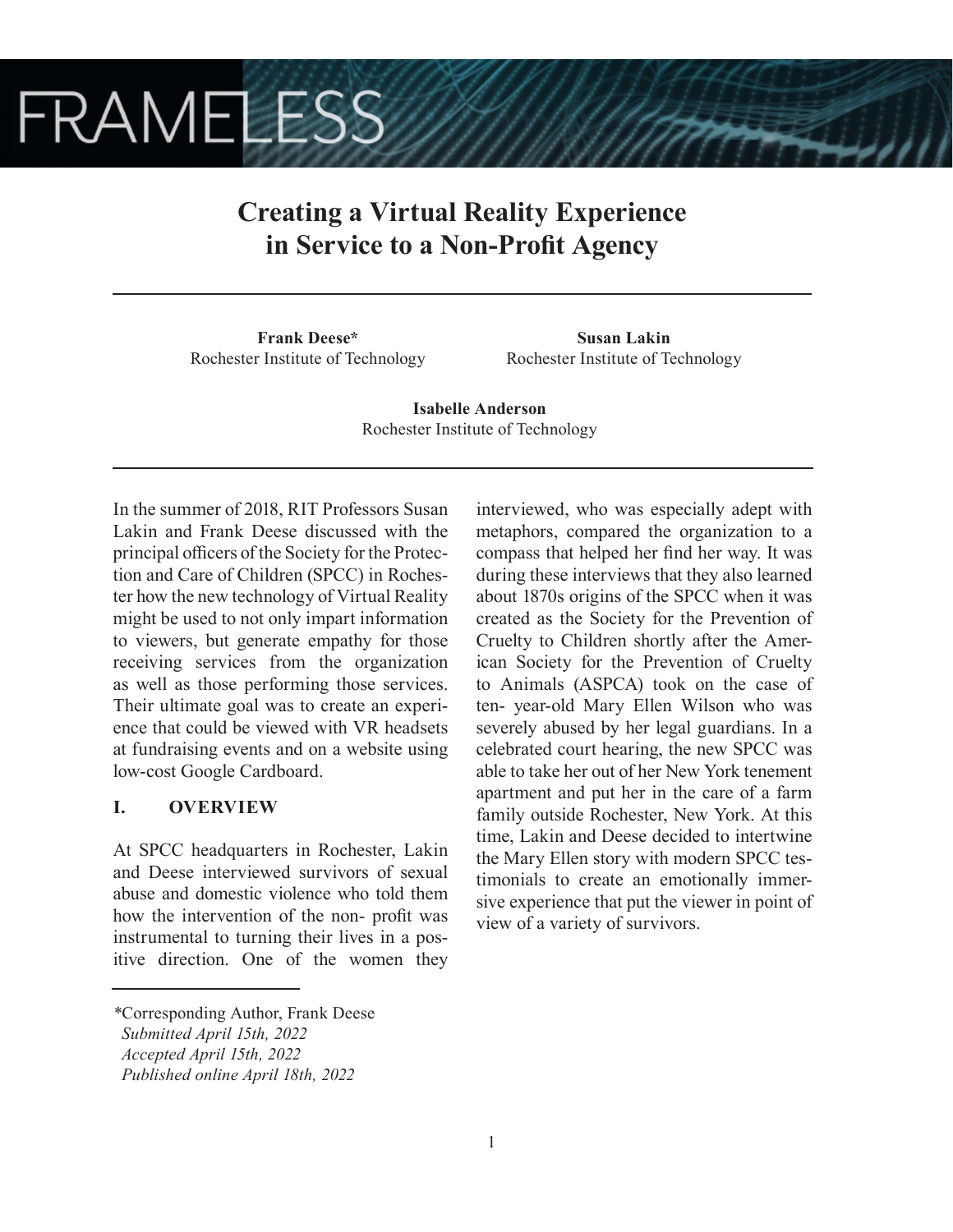# **FRAMELESS**

## **Creating a Virtual Reality Experience in Service to a Non-Profit Agency**

**Frank Deese\*** Rochester Institute of Technology

**Susan Lakin** Rochester Institute of Technology

**Isabelle Anderson** Rochester Institute of Technology

In the summer of 2018, RIT Professors Susan Lakin and Frank Deese discussed with the principal officers of the Society for the Protection and Care of Children (SPCC) in Rochester how the new technology of Virtual Reality might be used to not only impart information to viewers, but generate empathy for those receiving services from the organization as well as those performing those services. Their ultimate goal was to create an experience that could be viewed with VR headsets at fundraising events and on a website using low-cost Google Cardboard.

## **I. OVERVIEW**

At SPCC headquarters in Rochester, Lakin and Deese interviewed survivors of sexual abuse and domestic violence who told them how the intervention of the non- profit was instrumental to turning their lives in a positive direction. One of the women they interviewed, who was especially adept with metaphors, compared the organization to a compass that helped her find her way. It was during these interviews that they also learned about 1870s origins of the SPCC when it was created as the Society for the Prevention of Cruelty to Children shortly after the American Society for the Prevention of Cruelty to Animals (ASPCA) took on the case of ten- year-old Mary Ellen Wilson who was severely abused by her legal guardians. In a celebrated court hearing, the new SPCC was able to take her out of her New York tenement apartment and put her in the care of a farm family outside Rochester, New York. At this time, Lakin and Deese decided to intertwine the Mary Ellen story with modern SPCC testimonials to create an emotionally immersive experience that put the viewer in point of view of a variety of survivors.

*<sup>\*</sup>*Corresponding Author, Frank Deese

*Submitted April 15th, 2022*

*Accepted April 15th, 2022*

*Published online April 18th, 2022*